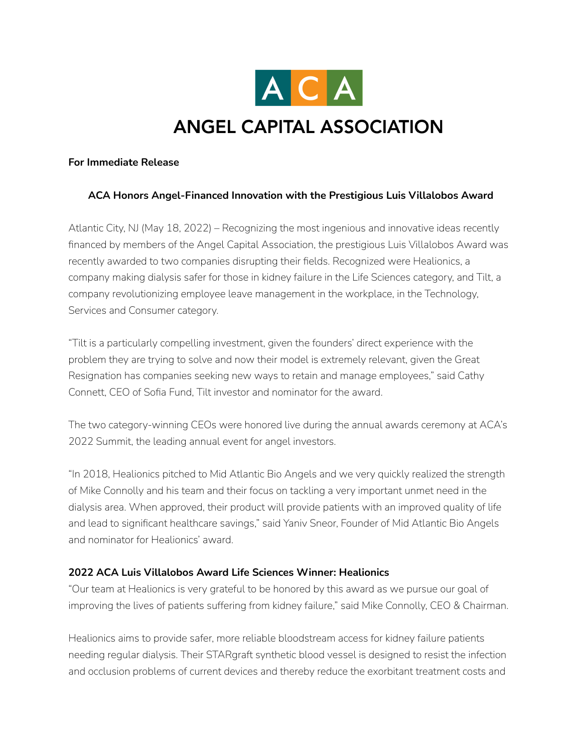

# **ANGEL CAPITAL ASSOCIATION**

## **For Immediate Release**

# **ACA Honors Angel-Financed Innovation with the Prestigious Luis Villalobos Award**

Atlantic City, NJ (May 18, 2022) – Recognizing the most ingenious and innovative ideas recently financed by members of the Angel Capital Association, the prestigious Luis Villalobos Award was recently awarded to two companies disrupting their fields. Recognized were Healionics, a company making dialysis safer for those in kidney failure in the Life Sciences category, and Tilt, a company revolutionizing employee leave management in the workplace, in the Technology, Services and Consumer category.

"Tilt is a particularly compelling investment, given the founders' direct experience with the problem they are trying to solve and now their model is extremely relevant, given the Great Resignation has companies seeking new ways to retain and manage employees," said Cathy Connett, CEO of Sofia Fund, Tilt investor and nominator for the award.

The two category-winning CEOs were honored live during the annual awards ceremony at ACA's 2022 Summit, the leading annual event for angel investors.

"In 2018, Healionics pitched to Mid Atlantic Bio Angels and we very quickly realized the strength of Mike Connolly and his team and their focus on tackling a very important unmet need in the dialysis area. When approved, their product will provide patients with an improved quality of life and lead to significant healthcare savings," said Yaniv Sneor, Founder of Mid Atlantic Bio Angels and nominator for Healionics' award.

## **2022 ACA Luis Villalobos Award Life Sciences Winner: Healionics**

"Our team at Healionics is very grateful to be honored by this award as we pursue our goal of improving the lives of patients suffering from kidney failure," said Mike Connolly, CEO & Chairman.

Healionics aims to provide safer, more reliable bloodstream access for kidney failure patients needing regular dialysis. Their STARgraft synthetic blood vessel is designed to resist the infection and occlusion problems of current devices and thereby reduce the exorbitant treatment costs and